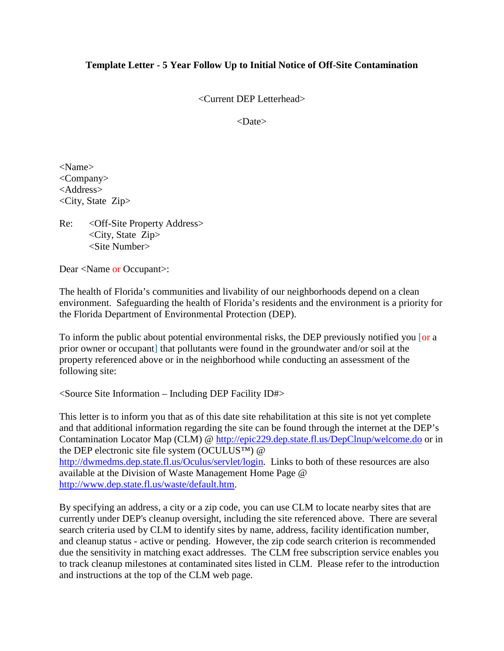## **Template Letter - 5 Year Follow Up to Initial Notice of Off-Site Contamination**

<Current DEP Letterhead>

<Date>

<Name> <Company> <Address> <City, State Zip>

Re: <Off-Site Property Address> <City, State Zip> <Site Number>

Dear <Name or Occupant>:

The health of Florida's communities and livability of our neighborhoods depend on a clean environment. Safeguarding the health of Florida's residents and the environment is a priority for the Florida Department of Environmental Protection (DEP).

To inform the public about potential environmental risks, the DEP previously notified you [or a prior owner or occupant] that pollutants were found in the groundwater and/or soil at the property referenced above or in the neighborhood while conducting an assessment of the following site:

 $\leq$  Source Site Information – Including DEP Facility ID# $>$ 

This letter is to inform you that as of this date site rehabilitation at this site is not yet complete and that additional information regarding the site can be found through the internet at the DEP's Contamination Locator Map (CLM) @<http://epic229.dep.state.fl.us/DepClnup/welcome.do> or in the DEP electronic site file system (OCULUS™) @ [http://dwmedms.dep.state.fl.us/Oculus/servlet/login.](http://dwmedms.dep.state.fl.us/Oculus/servlet/login) Links to both of these resources are also available at the Division of Waste Management Home Page @ [http://www.dep.state.fl.us/waste/default.htm.](http://www.dep.state.fl.us/waste/default.htm)

By specifying an address, a city or a zip code, you can use CLM to locate nearby sites that are currently under DEP's cleanup oversight, including the site referenced above. There are several search criteria used by CLM to identify sites by name, address, facility identification number, and cleanup status - active or pending. However, the zip code search criterion is recommended due the sensitivity in matching exact addresses. The CLM free subscription service enables you to track cleanup milestones at contaminated sites listed in CLM. Please refer to the introduction and instructions at the top of the CLM web page.